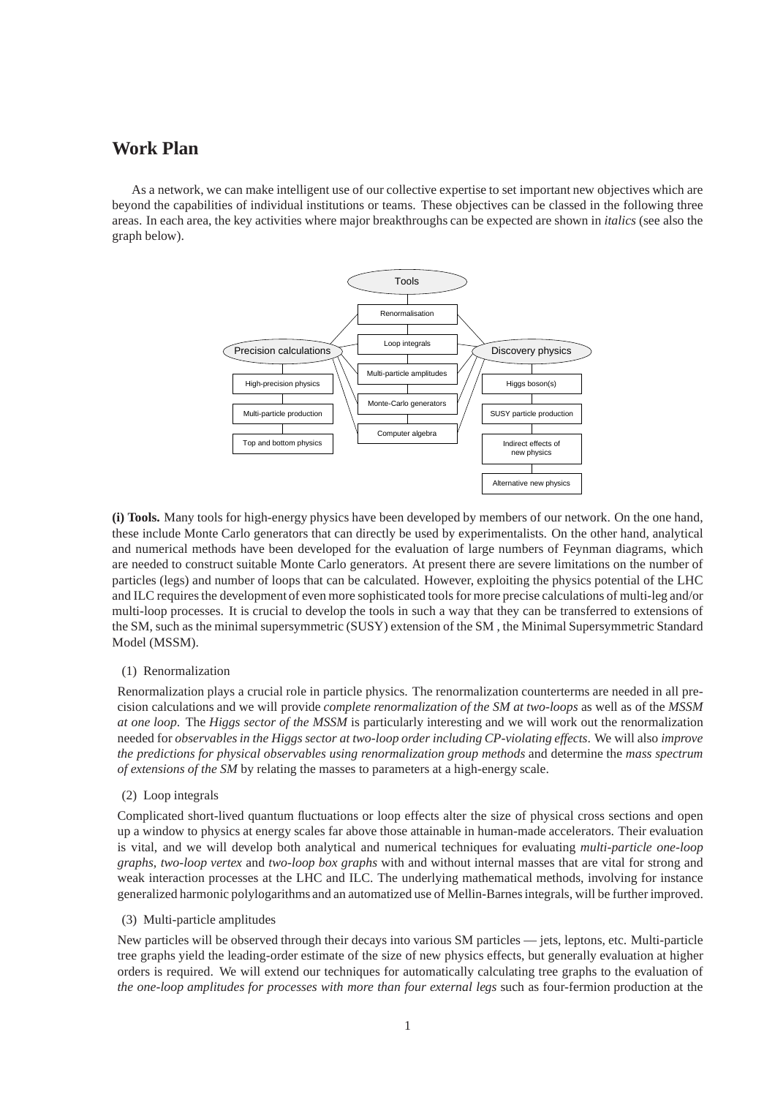# **Work Plan**

As a network, we can make intelligent use of our collective expertise to set important new objectives which are beyond the capabilities of individual institutions or teams. These objectives can be classed in the following three areas. In each area, the key activities where major breakthroughs can be expected are shown in *italics* (see also the graph below).



**(i) Tools.** Many tools for high-energy physics have been developed by members of our network. On the one hand, these include Monte Carlo generators that can directly be used by experimentalists. On the other hand, analytical and numerical methods have been developed for the evaluation of large numbers of Feynman diagrams, which are needed to construct suitable Monte Carlo generators. At present there are severe limitations on the number of particles (legs) and number of loops that can be calculated. However, exploiting the physics potential of the LHC and ILC requires the development of even more sophisticated tools for more precise calculations of multi-leg and/or multi-loop processes. It is crucial to develop the tools in such a way that they can be transferred to extensions of the SM, such as the minimal supersymmetric (SUSY) extension of the SM , the Minimal Supersymmetric Standard Model (MSSM).

#### (1) Renormalization

Renormalization plays a crucial role in particle physics. The renormalization counterterms are needed in all precision calculations and we will provide *complete renormalization of the SM at two-loops* as well as of the *MSSM at one loop*. The *Higgs sector of the MSSM* is particularly interesting and we will work out the renormalization needed for *observables in the Higgs sector at two-loop order including CP-violating effects*. We will also *improve the predictions for physical observables using renormalization group methods* and determine the *mass spectrum of extensions of the SM* by relating the masses to parameters at a high-energy scale.

## (2) Loop integrals

Complicated short-lived quantum fluctuations or loop effects alter the size of physical cross sections and open up a window to physics at energy scales far above those attainable in human-made accelerators. Their evaluation is vital, and we will develop both analytical and numerical techniques for evaluating *multi-particle one-loop graphs*, *two-loop vertex* and *two-loop box graphs* with and without internal masses that are vital for strong and weak interaction processes at the LHC and ILC. The underlying mathematical methods, involving for instance generalized harmonic polylogarithms and an automatized use of Mellin-Barnes integrals, will be further improved.

#### (3) Multi-particle amplitudes

New particles will be observed through their decays into various SM particles — jets, leptons, etc. Multi-particle tree graphs yield the leading-order estimate of the size of new physics effects, but generally evaluation at higher orders is required. We will extend our techniques for automatically calculating tree graphs to the evaluation of *the one-loop amplitudes for processes with more than four external legs* such as four-fermion production at the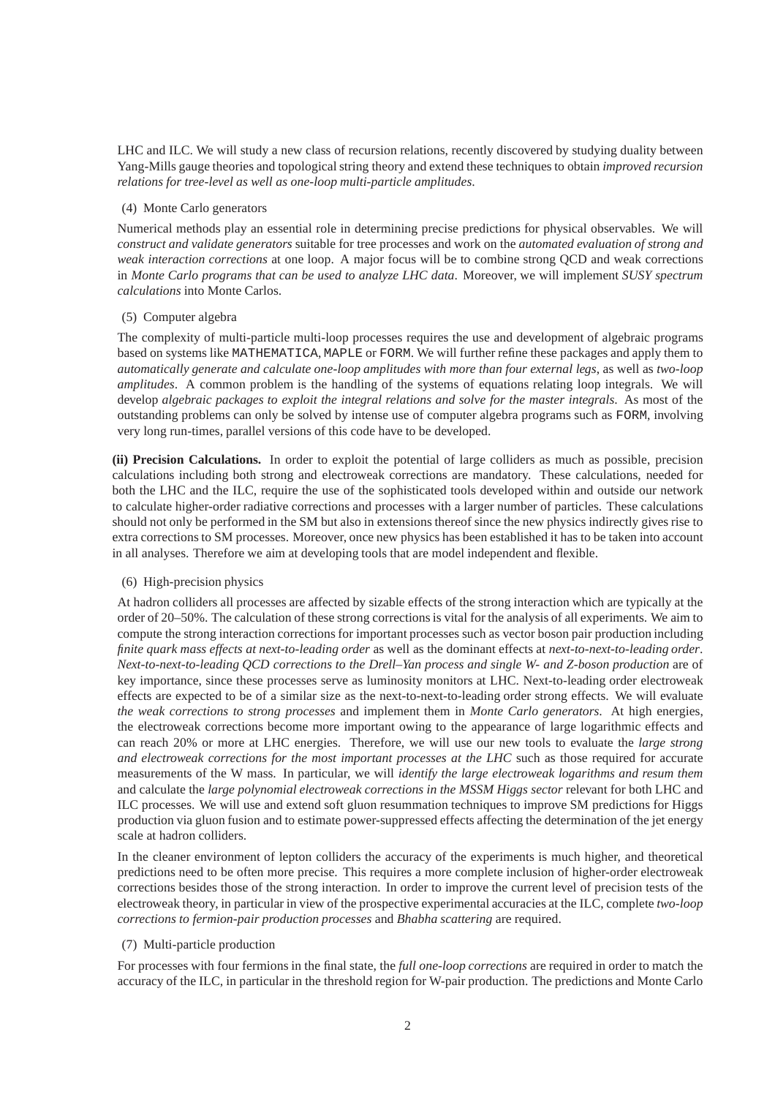LHC and ILC. We will study a new class of recursion relations, recently discovered by studying duality between Yang-Mills gauge theories and topological string theory and extend these techniques to obtain *improved recursion relations for tree-level as well as one-loop multi-particle amplitudes*.

## (4) Monte Carlo generators

Numerical methods play an essential role in determining precise predictions for physical observables. We will *construct and validate generators* suitable for tree processes and work on the *automated evaluation of strong and weak interaction corrections* at one loop. A major focus will be to combine strong QCD and weak corrections in *Monte Carlo programs that can be used to analyze LHC data*. Moreover, we will implement *SUSY spectrum calculations* into Monte Carlos.

## (5) Computer algebra

The complexity of multi-particle multi-loop processes requires the use and development of algebraic programs based on systems like MATHEMATICA, MAPLE or FORM. We will further refine these packages and apply them to *automatically generate and calculate one-loop amplitudes with more than four external legs*, as well as *two-loop amplitudes*. A common problem is the handling of the systems of equations relating loop integrals. We will develop *algebraic packages to exploit the integral relations and solve for the master integrals*. As most of the outstanding problems can only be solved by intense use of computer algebra programs such as FORM, involving very long run-times, parallel versions of this code have to be developed.

**(ii) Precision Calculations.** In order to exploit the potential of large colliders as much as possible, precision calculations including both strong and electroweak corrections are mandatory. These calculations, needed for both the LHC and the ILC, require the use of the sophisticated tools developed within and outside our network to calculate higher-order radiative corrections and processes with a larger number of particles. These calculations should not only be performed in the SM but also in extensions thereof since the new physics indirectly gives rise to extra corrections to SM processes. Moreover, once new physics has been established it has to be taken into account in all analyses. Therefore we aim at developing tools that are model independent and flexible.

# (6) High-precision physics

At hadron colliders all processes are affected by sizable effects of the strong interaction which are typically at the order of 20–50%. The calculation of these strong corrections is vital for the analysis of all experiments. We aim to compute the strong interaction corrections for important processes such as vector boson pair production including *finite quark mass effects at next-to-leading order* as well as the dominant effects at *next-to-next-to-leading order*. *Next-to-next-to-leading QCD corrections to the Drell–Yan process and single W- and Z-boson production* are of key importance, since these processes serve as luminosity monitors at LHC. Next-to-leading order electroweak effects are expected to be of a similar size as the next-to-next-to-leading order strong effects. We will evaluate *the weak corrections to strong processes* and implement them in *Monte Carlo generators*. At high energies, the electroweak corrections become more important owing to the appearance of large logarithmic effects and can reach 20% or more at LHC energies. Therefore, we will use our new tools to evaluate the *large strong and electroweak corrections for the most important processes at the LHC* such as those required for accurate measurements of the W mass. In particular, we will *identify the large electroweak logarithms and resum them* and calculate the *large polynomial electroweak corrections in the MSSM Higgs sector* relevant for both LHC and ILC processes. We will use and extend soft gluon resummation techniques to improve SM predictions for Higgs production via gluon fusion and to estimate power-suppressed effects affecting the determination of the jet energy scale at hadron colliders.

In the cleaner environment of lepton colliders the accuracy of the experiments is much higher, and theoretical predictions need to be often more precise. This requires a more complete inclusion of higher-order electroweak corrections besides those of the strong interaction. In order to improve the current level of precision tests of the electroweak theory, in particular in view of the prospective experimental accuracies at the ILC, complete *two-loop corrections to fermion-pair production processes* and *Bhabha scattering* are required.

#### (7) Multi-particle production

For processes with four fermions in the final state, the *full one-loop corrections* are required in order to match the accuracy of the ILC, in particular in the threshold region for W-pair production. The predictions and Monte Carlo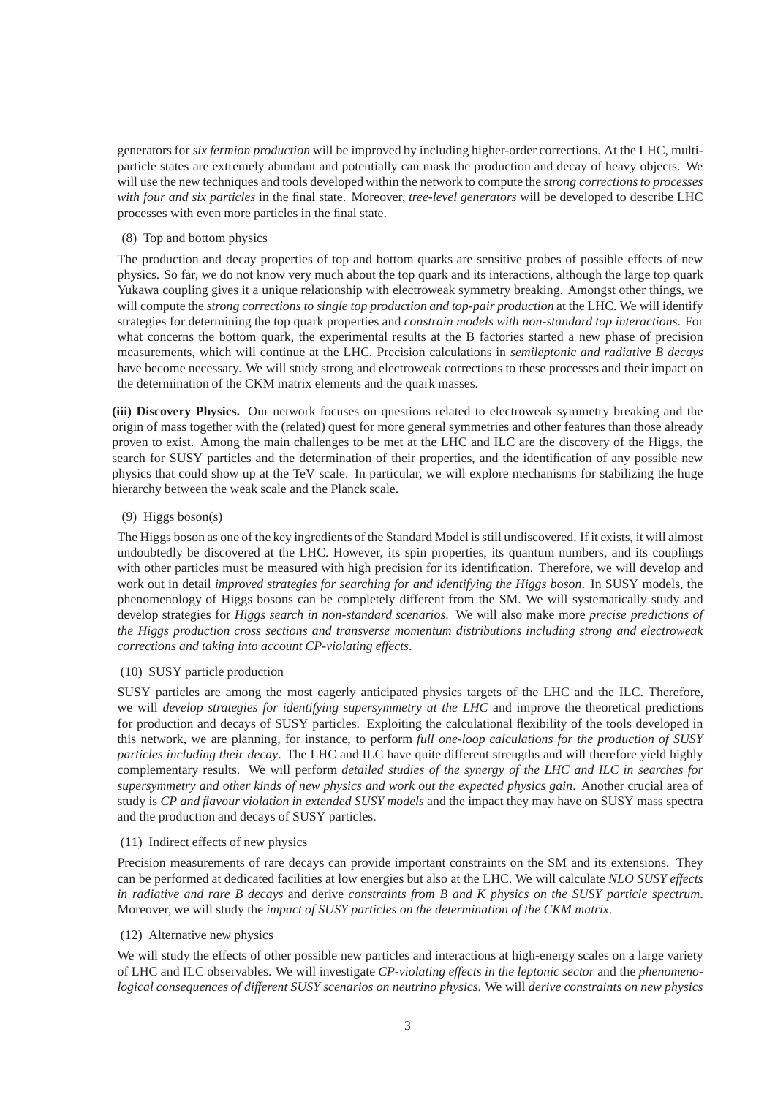generators for *six fermion production* will be improved by including higher-order corrections. At the LHC, multiparticle states are extremely abundant and potentially can mask the production and decay of heavy objects. We will use the new techniques and tools developed within the network to compute the *strong corrections to processes with four and six particles* in the final state. Moreover, *tree-level generators* will be developed to describe LHC processes with even more particles in the final state.

## (8) Top and bottom physics

The production and decay properties of top and bottom quarks are sensitive probes of possible effects of new physics. So far, we do not know very much about the top quark and its interactions, although the large top quark Yukawa coupling gives it a unique relationship with electroweak symmetry breaking. Amongst other things, we will compute the *strong corrections to single top production and top-pair production* at the LHC. We will identify strategies for determining the top quark properties and *constrain models with non-standard top interactions*. For what concerns the bottom quark, the experimental results at the B factories started a new phase of precision measurements, which will continue at the LHC. Precision calculations in *semileptonic and radiative B decays* have become necessary. We will study strong and electroweak corrections to these processes and their impact on the determination of the CKM matrix elements and the quark masses.

**(iii) Discovery Physics.** Our network focuses on questions related to electroweak symmetry breaking and the origin of mass together with the (related) quest for more general symmetries and other features than those already proven to exist. Among the main challenges to be met at the LHC and ILC are the discovery of the Higgs, the search for SUSY particles and the determination of their properties, and the identification of any possible new physics that could show up at the TeV scale. In particular, we will explore mechanisms for stabilizing the huge hierarchy between the weak scale and the Planck scale.

## (9) Higgs boson(s)

The Higgs boson as one of the key ingredients of the Standard Model is still undiscovered. If it exists, it will almost undoubtedly be discovered at the LHC. However, its spin properties, its quantum numbers, and its couplings with other particles must be measured with high precision for its identification. Therefore, we will develop and work out in detail *improved strategies for searching for and identifying the Higgs boson*. In SUSY models, the phenomenology of Higgs bosons can be completely different from the SM. We will systematically study and develop strategies for *Higgs search in non-standard scenarios*. We will also make more *precise predictions of the Higgs production cross sections and transverse momentum distributions including strong and electroweak corrections and taking into account CP-violating effects*.

# (10) SUSY particle production

SUSY particles are among the most eagerly anticipated physics targets of the LHC and the ILC. Therefore, we will *develop strategies for identifying supersymmetry at the LHC* and improve the theoretical predictions for production and decays of SUSY particles. Exploiting the calculational flexibility of the tools developed in this network, we are planning, for instance, to perform *full one-loop calculations for the production of SUSY particles including their decay*. The LHC and ILC have quite different strengths and will therefore yield highly complementary results. We will perform *detailed studies of the synergy of the LHC and ILC in searches for supersymmetry and other kinds of new physics and work out the expected physics gain*. Another crucial area of study is *CP and flavour violation in extended SUSY models* and the impact they may have on SUSY mass spectra and the production and decays of SUSY particles.

#### (11) Indirect effects of new physics

Precision measurements of rare decays can provide important constraints on the SM and its extensions. They can be performed at dedicated facilities at low energies but also at the LHC. We will calculate *NLO SUSY effects in radiative and rare B decays* and derive *constraints from B and K physics on the SUSY particle spectrum*. Moreover, we will study the *impact of SUSY particles on the determination of the CKM matrix*.

# (12) Alternative new physics

We will study the effects of other possible new particles and interactions at high-energy scales on a large variety of LHC and ILC observables. We will investigate *CP-violating effects in the leptonic sector* and the *phenomenological consequences of different SUSY scenarios on neutrino physics*. We will *derive constraints on new physics*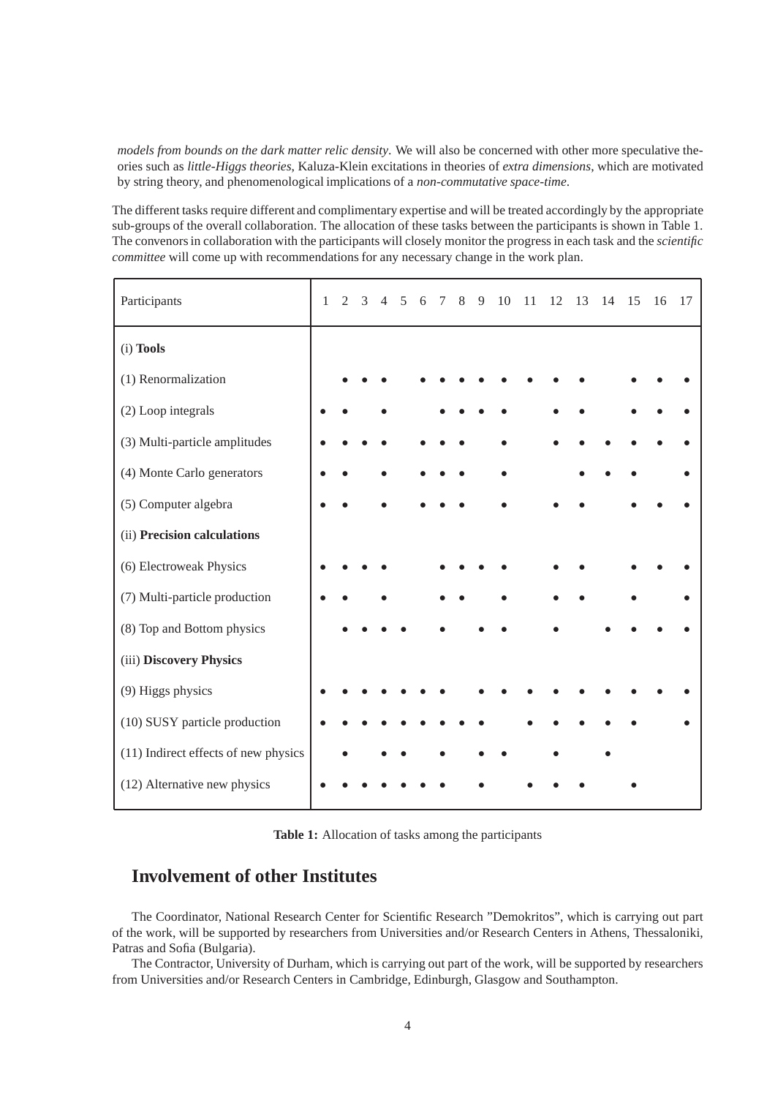*models from bounds on the dark matter relic density*. We will also be concerned with other more speculative theories such as *little-Higgs theories*, Kaluza-Klein excitations in theories of *extra dimensions*, which are motivated by string theory, and phenomenological implications of a *non-commutative space-time*.

The different tasks require different and complimentary expertise and will be treated accordingly by the appropriate sub-groups of the overall collaboration. The allocation of these tasks between the participants is shown in Table 1. The convenors in collaboration with the participants will closely monitor the progress in each task and the *scientific committee* will come up with recommendations for any necessary change in the work plan.

| Participants                         | $\mathbf{1}$ | $\mathfrak{D}$ | $\mathcal{F}$ | $\overline{4}$ | 5 | 6 | $\tau$ | 8 | 9 | 10 | 11 | 12 | 13 | 14 | 15 | 16 | 17 |
|--------------------------------------|--------------|----------------|---------------|----------------|---|---|--------|---|---|----|----|----|----|----|----|----|----|
| (i) Tools                            |              |                |               |                |   |   |        |   |   |    |    |    |    |    |    |    |    |
| (1) Renormalization                  |              |                |               |                |   |   |        |   |   |    |    |    |    |    |    |    |    |
| (2) Loop integrals                   |              |                |               |                |   |   |        |   |   |    |    |    |    |    |    |    |    |
| (3) Multi-particle amplitudes        |              |                |               |                |   |   |        |   |   |    |    |    |    |    |    |    |    |
| (4) Monte Carlo generators           |              |                |               |                |   |   |        |   |   |    |    |    |    |    |    |    |    |
| (5) Computer algebra                 |              |                |               |                |   |   |        |   |   |    |    |    |    |    |    |    |    |
| (ii) Precision calculations          |              |                |               |                |   |   |        |   |   |    |    |    |    |    |    |    |    |
| (6) Electroweak Physics              |              |                |               |                |   |   |        |   |   |    |    |    |    |    |    |    |    |
| (7) Multi-particle production        |              |                |               |                |   |   |        |   |   |    |    |    |    |    |    |    |    |
| (8) Top and Bottom physics           |              |                |               |                |   |   |        |   |   |    |    |    |    |    |    |    |    |
| (iii) Discovery Physics              |              |                |               |                |   |   |        |   |   |    |    |    |    |    |    |    |    |
| (9) Higgs physics                    |              |                |               |                |   |   |        |   |   |    |    |    |    |    |    |    |    |
| (10) SUSY particle production        |              |                |               |                |   |   |        |   |   |    |    |    |    |    |    |    |    |
| (11) Indirect effects of new physics |              |                |               |                |   |   |        |   |   |    |    |    |    |    |    |    |    |
| (12) Alternative new physics         |              |                |               |                |   |   |        |   |   |    |    |    |    |    |    |    |    |

**Table 1:** Allocation of tasks among the participants

# **Involvement of other Institutes**

The Coordinator, National Research Center for Scientific Research "Demokritos", which is carrying out part of the work, will be supported by researchers from Universities and/or Research Centers in Athens, Thessaloniki, Patras and Sofia (Bulgaria).

The Contractor, University of Durham, which is carrying out part of the work, will be supported by researchers from Universities and/or Research Centers in Cambridge, Edinburgh, Glasgow and Southampton.